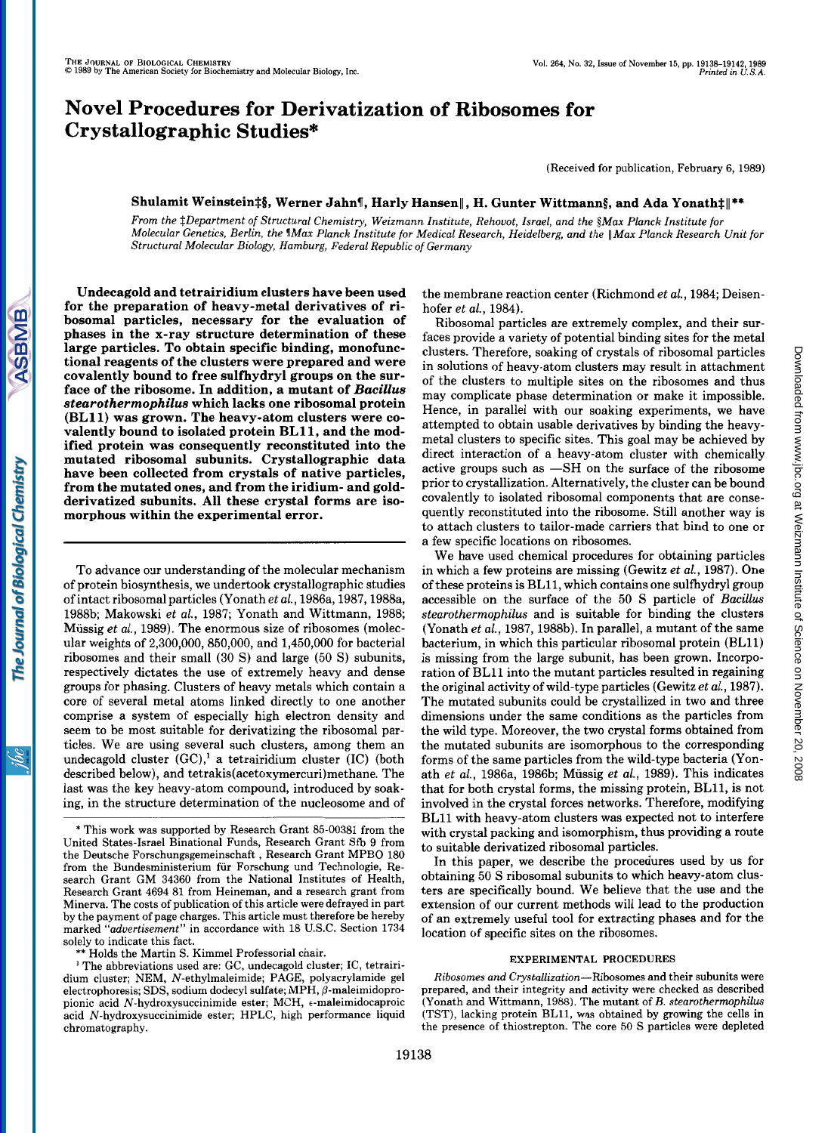# **Novel Procedures for Derivatization of Ribosomes for Crystallographic Studies\***

(Received for publication, February 6, 1989)

## Shulamit Weinstein‡§, Werner Jahn¶, Harly Hansen||, H. Gunter Wittmann§, and Ada Yonath‡||\*\*

*From the \$Department of Structural Chemistry, Weizmann Institute, Rehouot, Israel, and the §Max Planck Institute for Molecular Genetics, Berlin, the VMax Planck Institute for Medical Research, Heidelberg, and the* 11 *Max Planck Research Unit for Structural Molecular Biology, Hamburg, Federal Republic of Germany* 

**Undecagold and tetrairidium clusters have been used for the preparation of heavy-metal derivatives of ribosomal particles, necessary for the evaluation of phases in the x-ray structure determination of these large particles. To obtain specific binding, monofunctional reagents of the clusters were prepared and were covalently bound to free sulfhydryl groups on the surface of the ribosome. In addition, a mutant of** *Bacillus stearothermophilus* **which lacks one ribosomal protein (BL11) was grown. The heavy-atom clusters were** *co***valently bound to isolated protein BL 11, and the modified protein was consequently reconstituted into the mutated ribosomal subunits. Crystallographic data have been collected from crystals of native particles, from the mutated ones, and from the iridium- and goldderivatized subunits. All these crystal forms are isomorphous within the experimental error.** 

To advance our understanding of the molecular mechanism of protein biosynthesis, we undertook crystallographic studies of intact ribosomal particles (Yonath *et al.,* 1986a, l987,1988a, 1988b; Makowski et al., 1987; Yonath and Wittmann, 1988; Mussig *et al.,* 1989). The enormous size of ribosomes (molecular weights of 2,300,000, 850,000, and 1,450,000 for bacterial ribosomes and their small **(30** S) and large (50 S) subunits, respectively dictates the use of extremely heavy and dense groups for phasing. Clusters of heavy metals which contain a core of several metal atoms linked directly to one another comprise a system of especially high electron density and seem to be most suitable for derivatizing the ribosomal particles. We are using several such clusters, among them an undecagold cluster  $(GC)$ ,<sup>1</sup> a tetrairidium cluster  $(IC)$  (both described below), and **tetrakis(acetoxymercuri)methane.** The last was the key heavy-atom compound, introduced by soaking, in the structure determination of the nucleosome and of the membrane reaction center (Richmond *et al.,* 1984; Deisenhofer *et al.,* 1984).

Ribosomal particles are extremely complex, and their surfaces provide a variety of potential binding sites for the metal clusters. Therefore, soaking of crystals of ribosomal particles in solutions of heavy-atom clusters may result in attachment of the clusters to multiple sites on the ribosomes and thus may complicate phase determination or make it impossible. Hence, in parallel with our soaking experiments, we have attempted to obtain usable derivatives by binding the heavymetal clusters to specific sites. This goal may be achieved by direct interaction of a heavy-atom cluster with chemically active groups such as  $-SH$  on the surface of the ribosome prior to crystallization. Alternatively, the cluster can be bound covalently to isolated ribosomal components that are consequently reconstituted into the ribosome. Still another way is to attach clusters to tailor-made carriers that bind to one or a few specific locations on ribosomes.

We have used chemical procedures for obtaining particles in which a few proteins are missing (Gewitz *et al.,* 1987). One of these proteins is BL11, which contains one sulfhydryl group accessible on the surface of the 50 S particle of *Bacillus stearothermophilus* and is suitable for binding the clusters (Yonath *et al.,* 1987,1988b). In parallel, a mutant of the same bacterium, in which this particular ribosomal protein (BL11) is missing from the large subunit, has been grown. Incorporation of BLll into the mutant particles resulted in regaining the original activity of wild-type particles (Gewitz *et al.,* 1987). The mutated subunits could be crystallized in two and three dimensions under the same conditions as the particles from the wild type. Moreover, the two crystal forms obtained from the mutated subunits are isomorphous to the corresponding forms of the same particles from the wild-type bacteria (Yonath *et al.,* 1986a, 1986b; Mussig *et al.,* 1989). This indicates that for both crystal forms, the missing protein, BL11, is not involved in the crystal forces networks. Therefore, modifying BLll with heavy-atom clusters was expected not to interfere with crystal packing and isomorphism, thus providing a route to suitable derivatized ribosomal particles.

In this paper, we describe the procedures used by us for obtaining 50 S ribosomal subunits to which heavy-atom clusters are specifically bound. We believe that the use and the extension of our current methods will lead to the production of an extremely useful tool for extracting phases and for the location of specific sites on the ribosomes.

#### **EXPERIMENTAL PROCEDURES**

*Ribosomes and Crystallization-Ribosomes* and their subunits were prepared, and their integrity and activity were checked as described (Yonath and Wittmann, 1988). The mutant of *B. stearothermophilus*  (TST), lacking protein BL11, was obtained by growing the cells in the presence of thiostrepton. The core 50 S particles were depleted

The Journal of Biological Chemistry

**ASBMB** 

<sup>\*</sup> This work was supported by Research Grant 85-00381 from the United States-Israel Binational Funds, Research Grant Sfb 9 from the Deutsche Forschungsgemeinschaft , Research Grant MPBO 180 from the Bundesministerium fur Forschung und Technologie, Research Grant GM 34360 from the National Institutes of Health, Research Grant 4694 81 from Heineman, and a research grant from Minerva. The costs of publication of this article were defrayed in part by the payment of page charges. This article must therefore be hereby marked *"aduertisement"* in accordance with 18 U.S.C. Section 1734 solely to indicate this fact.

<sup>\*\*</sup> Holds the Martin S. Kimmel Professorial chair.

<sup>&</sup>lt;sup>1</sup> The abbreviations used are: GC, undecagold cluster; IC, tetrairidium cluster; NEM, N-ethylmaleimide; PAGE, polyacrylamide gel electrophoresis; SDS, sodium dodecyl sulfate; MPH,  $\beta$ -maleimidopropionic acid N-hydroxysuccinimide ester; MCH, e-maleimidocaproic acid N-hydroxysuccinimide ester; HPLC, high performance liquid chromatography.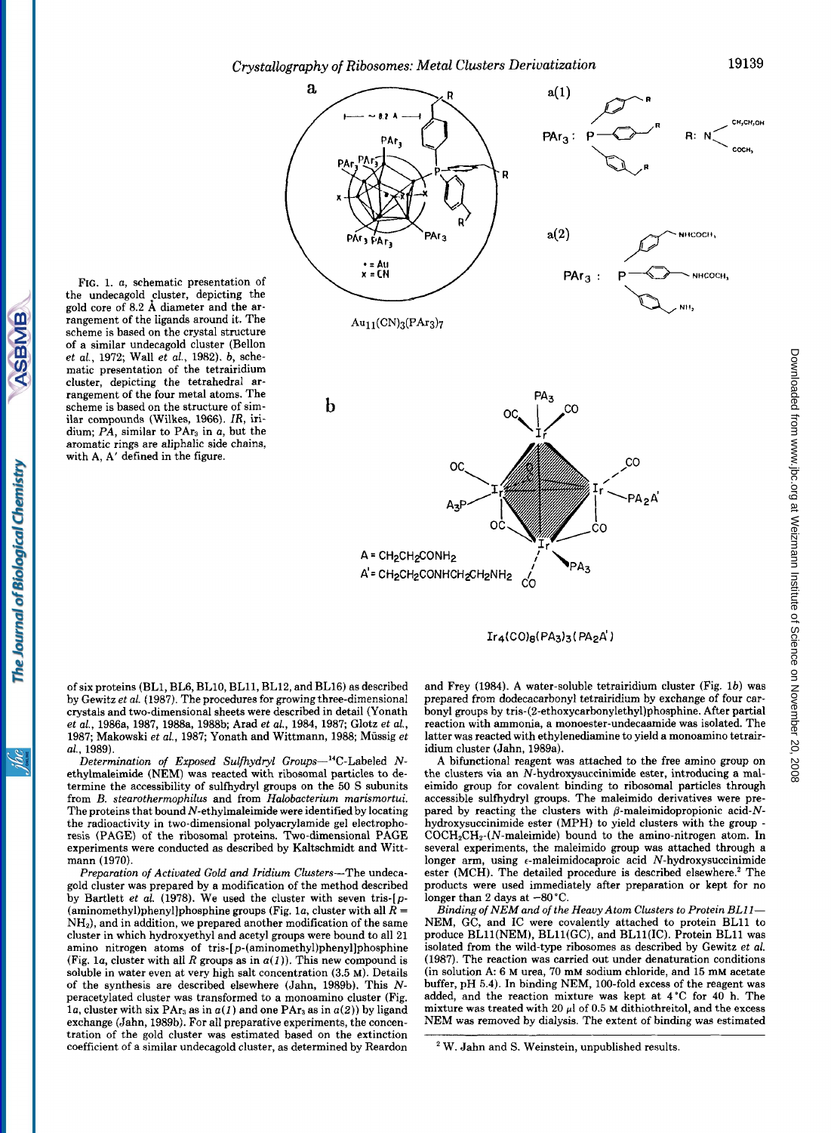*Crystallography of Ribosomes: Metal Clusters Derivatization* **19139** 



 $Ir_4(CO)_8(PA_3)_3(PA_2A')$ 

FIG. 1. a, schematic presentation of the undecagold cluster, depicting the gold core of 8.2 *8,* diameter and the arrangement of the ligands around it. The scheme is based on the crystal structure of a similar undecagold cluster (Bellon et al., 1972; Wall et al., 1982). b, schematic presentation of the tetrairidium cluster, depicting the tetrahedral arrangement of the four metal atoms. The scheme is based on the structure of similar compounds (Wilkes, 1966). *IR,* iridium;  $PA$ , similar to  $PAr<sub>3</sub>$  in a, but the aromatic rings are aliphalic side chains, with A, A' defined in the figure.

of six proteins (BL1, BL6, BL10, BL11, BL12, and BL16) as described by Gewitz *et* al. (1987). The procedures for growing three-dimensional crystals and two-dimensional sheets were described in detail (Yonath et al., 1986a, 1987, 1988a, 1988b; Arad et al., 1984, 1987; Glotz et al., 1987; Makowski et al., 1987; Yonath and Wittmann, 1988; Müssig et al., 1989).

Determination of Exposed Sulfhydryl Groups-<sup>14</sup>C-Labeled Nethylmaleimide (NEM) was reacted with ribosomal particles to determine the accessibility of sulfhydryl groups on the 50 S subunits from *B.* stearothermophilus and from Halobacterium marismortui. The proteins that bound  $N$ -ethylmaleimide were identified by locating the radioactivity in two-dimensional polyacrylamide gel electrophoresis (PAGE) of the ribosomal proteins. Two-dimensional PAGE experiments were conducted as described by Kaltschmidt and Wittmann (1970).

Preparation *of* Activated Gold and Iridium Clusters-The undecagold cluster was prepared by a modification of the method described by Bartlett et al. (1978). We used the cluster with seven tris-[p- **(aminomethyl)phenyl]phosphine** groups (Fig. la, cluster with all *R* =  $NH<sub>2</sub>$ ), and in addition, we prepared another modification of the same cluster in which hydroxyethyl and acetyl groups were bound to all 21 amino nitrogen atoms of **tris-[p-(aminomethyl)phenyl]phosphine**  (Fig. 1*a*, cluster with all *R* groups as in  $a(1)$ ). This new compound is soluble in water even at very high salt concentration (3.5 **M).** Details of the synthesis are described elsewhere (Jahn, 1989b). This *N*peracetylated cluster was transformed to a monoamino cluster (Fig. 1*a*, cluster with six PAr<sub>3</sub> as in  $a(1)$  and one PAr<sub>3</sub> as in  $a(2)$ ) by ligand exchange (Jahn, 1989b). For all preparative experiments, the concentration of the gold cluster was estimated based on the extinction coefficient of a similar undecagold cluster, as determined by Reardon

and Frey (1984). **A** water-soluble tetrairidium cluster (Fig. lb) was prepared from dodecacarbonyl tetrairidium by exchange of four carbonyl groups by **tris-(2-ethoxycarbonylethy1)phosphine.** After partial reaction with ammonia, a monoester-undecaamide was isolated. The latter was reacted with ethylenediamine to yield a monoamino tetrairidium cluster (Jahn, 1989a).

A bifunctional reagent was attached to the free amino group on the clusters via an N-hydroxysuccinimide ester, introducing a maleimido group for covalent binding to ribosomal particles through accessible sulfhydryl groups. The maleimido derivatives were prepared by reacting the clusters with  $\beta$ -maleimidopropionic acid-Nhydroxysuccinimide ester (MPH) to yield clusters with the group -  $COCH<sub>2</sub>CH<sub>2</sub>(N-maleimide)$  bound to the amino-nitrogen atom. In several experiments, the maleimido group was attached through a longer arm, using  $\epsilon$ -maleimidocaproic acid N-hydroxysuccinimide ester (MCH). The detailed procedure is described elsewhere.' The products were used immediately after preparation or kept for no longer than 2 days at  $-80^{\circ}$ C.

Binding *of NEM* and *of* the Heavy Atom Clusters to Protein BL11- NEM, GC, and IC were covalently attached to protein BLll to produce BLll(NEM), BLll(GC), and BLll(1C). Protein BLll was isolated from the wild-type ribosomes as described by Gewitz et al. (1987). The reaction was carried out under denaturation conditions (in solution A: 6 M urea, 70 mM sodium chloride, and 15 mM acetate buffer, pH 5.4). In binding NEM, 100-fold excess of the reagent was added, and the reaction mixture was kept at 4°C for 40 h. The mixture was treated with 20  $\mu$ l of 0.5 **M** dithiothreitol, and the excess NEM was removed by dialysis. The extent **of** binding was estimated

Ìвс

W. Jahn and S. Weinstein, unpublished results.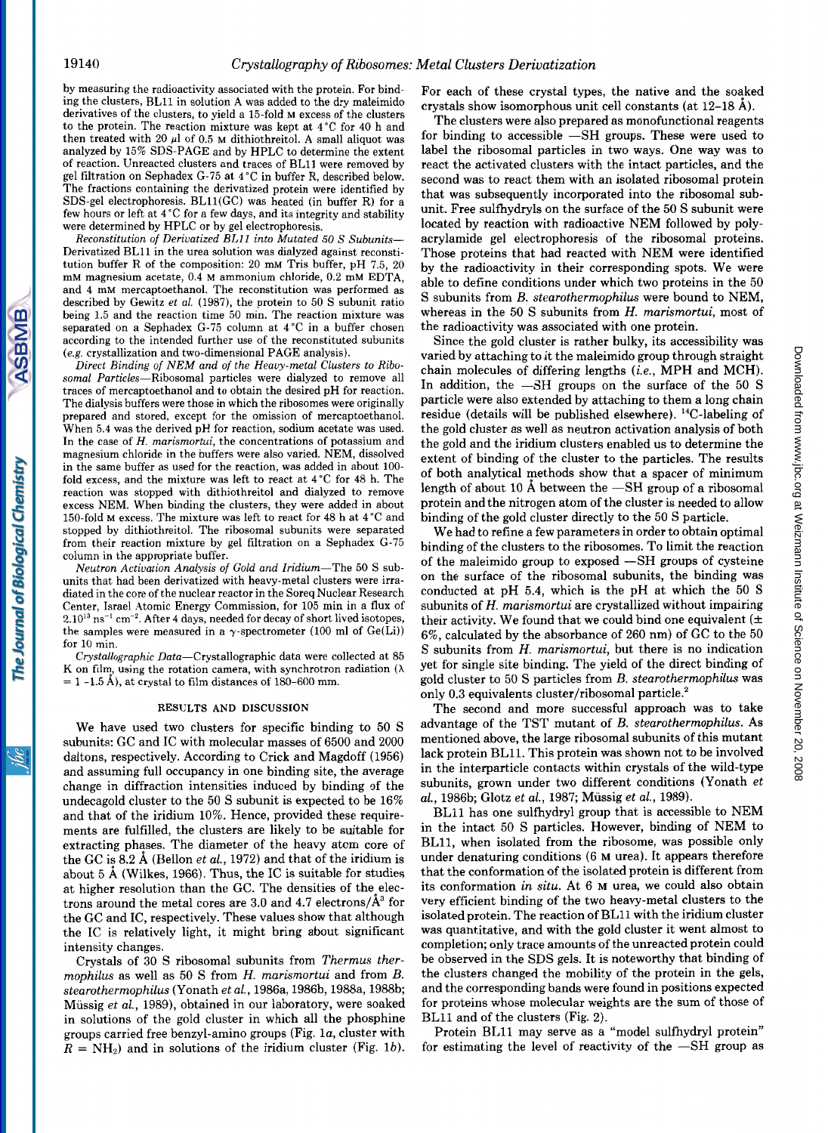by measuring the radioactivity associated with the protein. For binding the clusters, BLll in solution A was added to the dry maleimido derivatives of the clusters, to yield a 15-fold M excess of the clusters to the protein. The reaction mixture was kept at 4°C for 40 h and then treated with 20  $\mu$ l of 0.5 M dithiothreitol. A small aliquot was analyzed by 15% SDS-PAGE and by HPLC to determine the extent of reaction. Unreacted clusters and traces of BLll were removed by gel filtration on Sephadex (3-75 at 4°C in buffer R, described below. The fractions containing the derivatized protein were identified by SDS-gel electrophoresis. BLll(GC) was heated (in buffer R) for a few hours or left at 4 "C for a few days, and its integrity and stability were determined by HPLC or by gel electrophoresis.

Reconstitution *of* Derivatized EL11 into Mutated **50** *S* Subunits-Derivatized BLll in the urea solution was dialyzed against reconstitution buffer R of the composition: 20 mM Tris buffer, pH 7.5, 20 mM magnesium acetate, 0.4 M ammonium chloride, 0.2 mM EDTA, and 4 mM mercaptoethanol. The reconstitution was performed as described by Gewitz et *al.* (1987), the protein to 50 S subunit ratio being 1.5 and the reaction time 50 min. The reaction mixture was separated on a Sephadex G-75 column at  $4^{\circ}$ C in a buffer chosen according to the intended further use of the reconstituted subunits (e.g. crystallization and two-dimensional PAGE analysis).

Direct Binding *of* NEM and *of* the Heavy-metal Clusters to Ribosomal Particles-Ribosomal particles were dialyzed to remove all traces of mercaptoethanol and to obtain the desired pH for reaction. The dialysis buffers were those in which the ribosomes were originally prepared and stored, except for the omission of mercaptoethanol. When **5.4** was the derived pH for reaction, sodium acetate was used. In the case of *H.* marismortui, the concentrations of potassium and magnesium chloride in the buffers were also varied. NEM, dissolved in the same buffer as used for the reaction, was added in about 100 fold excess, and the mixture was left to react at 4°C for **48** h. The reaction was stopped with dithiothreitol and dialyzed to remove excess NEM. When binding the clusters, they were added in about 150-fold M excess. The mixture was left to react for 48 h at 4°C and stopped by dithiothreitol. The ribosomal subunits were separated from their reaction mixture by gel filtration on a Sephadex G-75 column in the appropriate buffer.

Neutron Activation Analysis *of* Gold and Iridium-The 50 S subunits that had been derivatized with heavy-metal clusters were irradiated in the core of the nuclear reactor in the Soreq Nuclear Research Center, Israel Atomic Energy Commission, for 105 min in a flux of  $2.10^{13}$  ns<sup>-1</sup> cm<sup>-2</sup>. After 4 days, needed for decay of short lived isotopes, the samples were measured in a  $\gamma$ -spectrometer (100 ml of Ge(Li)) for 10 min.

Crystallographic Data-Crystallographic data were collected at 85 K on film, using the rotation camera, with synchrotron radiation  $(\lambda)$  $= 1 -1.5$  Å), at crystal to film distances of 180-600 mm.

### **RESULTS AND DISCUSSION**

We have used two clusters for specific binding to 50 S subunits: GC and IC with molecular masses of 6500 and 2000 daltons, respectively. According to Crick and Magdoff (1956) and assuming full occupancy in one binding site, the average change in diffraction intensities induced by binding of the undecagold cluster to the 50 S subunit is expected to be 16% and that of the iridium 10%. Hence, provided these requirements are fulfilled, the clusters are likely to be suitable for extracting phases. The diameter of the heavy atom core of the GC is  $8.2 \text{ Å}$  (Bellon *et al.*, 1972) and that of the iridium is about 5 **A** (Wilkes, 1966). Thus, the IC is suitable for studies at higher resolution than the GC. The densities of the electrons around the metal cores are  $3.0$  and  $4.7$  electrons/ $\hat{A}^3$  for the GC and IC, respectively. These values show that although the IC is relatively light, it might bring about significant intensity changes.

Crystals of **30** S ribosomal subunits from *Thermus thermophilus* as well as 50 S from *H. marismortui* and from *B. stearothermophilus* (Yonath *et al.,* 1986a, 1986b, 1988a, 1988b; Miissig *et al.,* 1989), obtained in our laboratory, were soaked in solutions of the gold cluster in which all the phosphine groups carried free benzyl-amino groups (Fig. la, cluster with  $R = NH<sub>2</sub>$ ) and in solutions of the iridium cluster (Fig. 1b).

For each of these crystal types, the native and the soaked crystals show isomorphous unit cell constants (at 12-18 **A).** 

The clusters were also prepared as monofunctional reagents for binding to accessible  $-SH$  groups. These were used to label the ribosomal particles in two ways. One way was to react the activated clusters with the intact particles, and the second was to react them with an isolated ribosomal protein that was subsequently incorporated into the ribosomal subunit. Free sulfhydryls on the surface of the 50 S subunit were located by reaction with radioactive NEM followed by polyacrylamide gel electrophoresis of the ribosomal proteins. Those proteins that had reacted with NEM were identified by the radioactivity in their corresponding spots. We were able to define conditions under which two proteins in the 50 S subunits from *B. stearothermophilus* were bound to NEM, whereas in the 50 S subunits from *H. marismortui,* most of the radioactivity was associated with one protein.

Since the gold cluster is rather bulky, its accessibility was varied by attaching to it the maleimido group through straight chain molecules of differing lengths *(i.e.,* MPH and MCH). In addition, the  $-SH$  groups on the surface of the 50 S particle were also extended by attaching to them a long chain residue (details will be published elsewhere). 14C-labeling of the gold cluster as well as neutron activation analysis of both the gold and the iridium clusters enabled us to determine the extent of binding of the cluster to the particles. The results of both analytical methods show that a spacer of minimum length of about 10  $\AA$  between the  $-SH$  group of a ribosomal protein and the nitrogen atom of the cluster is needed to allow binding of the gold cluster directly to the 50 S particle. ried by attaching to it the male<br>imido group through straight (i.e., MPH and MCH). a addition, the —SH groups on the surface of the 50 S<br>addition, the —SH groups on the surface of the 50 S<br>riticle were also extended by at

binding of the clusters to the ribosomes. To limit the reaction of the maleimido group to exposed -SH groups of cysteine on the surface of the ribosomal subunits, the binding was conducted at pH 5.4, which is the pH at which the 50 S subunits of *H. marismortui* are crystallized without impairing their activity. We found that we could bind one equivalent *(5*  6%, calculated by the absorbance of 260 nm) of GC to the 50 S subunits from *H. marismortui,* but there is no indication yet for single site binding. The yield of the direct binding of gold cluster to 50 S particles from *B. stearothermophilus* was only 0.3 equivalents cluster/ribosomal particle.<sup>2</sup>

The second and more successful approach was to take advantage of the TST mutant of *B. stearothermophilus.* **As**  mentioned above, the large ribosomal subunits of this mutant lack protein BL11. This protein was shown not to be involved in the interparticle contacts within crystals of the wild-type subunits, grown under two different conditions (Yonath *et al.,* 1986b; Glotz *et al.,* 1987; Miissig *et al.,* 1989).

BLll has one sulfhydryl group that is accessible to NEM in the intact 50 S particles. However, binding of NEM to BL11, when isolated from the ribosome, was possible only under denaturing conditions (6 **M** urea). It appears therefore that the conformation of the isolated protein is different from its conformation *in situ.* At 6 **M** urea, we could also obtain very efficient binding of the two heavy-metal clusters to the isolated protein. The reaction of BLll with the iridium cluster was quantitative, and with the gold cluster it went almost to completion; only trace amounts of the unreacted protein could be observed in the SDS gels. It is noteworthy that binding of the clusters changed the mobility of the protein in the gels, and the corresponding bands were found in positions expected for proteins whose molecular weights are the sum of those of BLll and of the clusters (Fig. **2).** 

Protein BLll may serve as a "model sulfhydryl protein" for estimating the level of reactivity of the  $-SH$  group as

The Journal of Biological Chemistry

**ASBMB**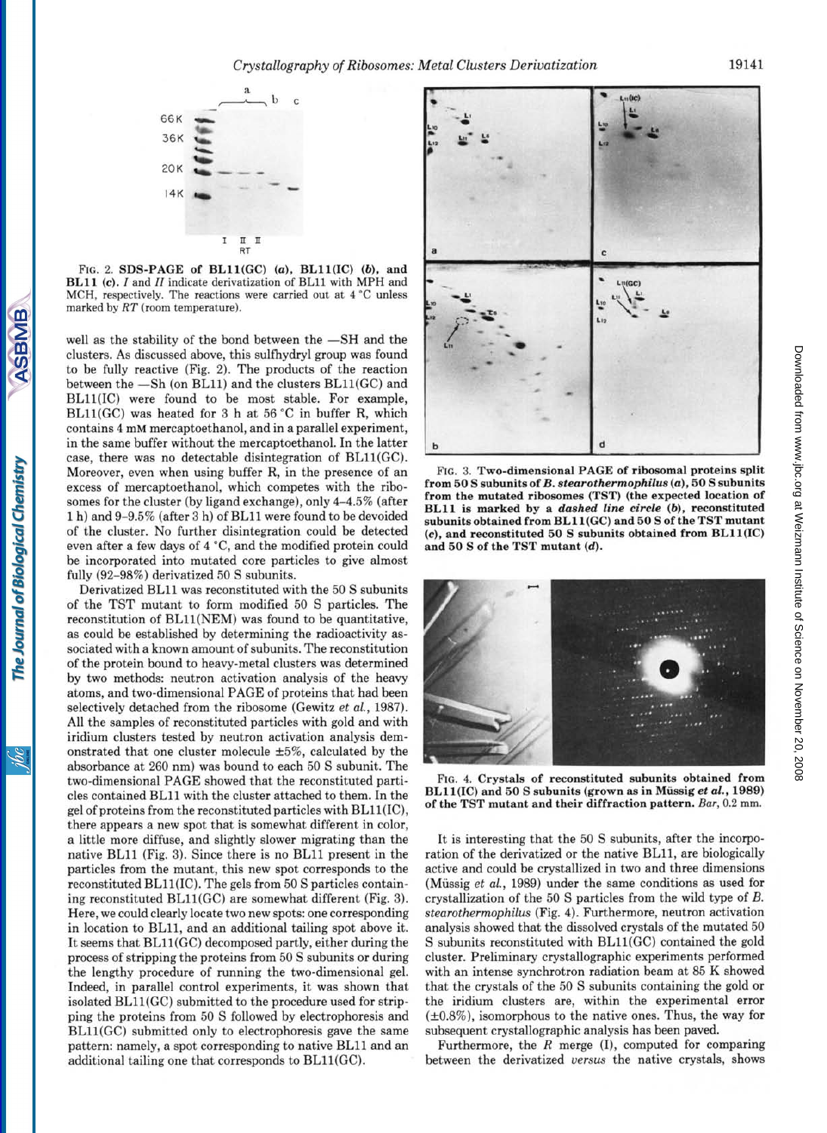

**FIG. 2. SDS-PAGE of BLll(CC)** *(a),* **BLll(1C)** *(b),* **and BLll (c).** *I* **and** *II* **indicate derivatization of BLll with** MPH **and**  MCH, **respectively. The reactions were carried out at 4** "C **unless marked by** *RT* **(room temperature).** 

well as the stability of the bond between the  $-SH$  and the clusters. As discussed above, this sulfhydryl group was found to be fully reactive (Fig. 2). The products of the reaction between the  $-Sh$  (on BL11) and the clusters BL11(GC) and BLll(1C) were found to be most stable. For example, BLll(GC) was heated for **3** h at 56 "C in buffer R, which contains **4** mM mercaptoethanol, and in a parallel experiment, in the same buffer without the mercaptoethanol. In the latter case, there was no detectable disintegration of BL11(GC). Moreover, even when using buffer R, in the presence of an excess of mercaptoethanol, which competes with the ribosomes for the cluster (by ligand exchange), only 4-4.5% (after 1 h) and 9-9.5% (after **3** h) of BLll were found to be devoided of the cluster. No further disintegration could be detected even after a few days of **4** "C, and the modified protein could be incorporated into mutated core particles to give almost fully (92-98%) derivatized 50 S subunits.

Derivatized BLll was reconstituted with the 50 S subunits of the TST mutant to form modified 50 S particles. The reconstitution of BLll(NEM) was found to be quantitative, as could be established by determining the radioactivity associated with a known amount of subunits. The reconstitution of the protein bound to heavy-metal clusters was determined by two methods: neutron activation analysis of the heavy atoms, and two-dimensional PAGE of proteins that had been selectively detached from the ribosome (Gewitz *et al.,* 1987). All the samples of reconstituted particles with gold and with iridium clusters tested by neutron activation analysis demonstrated that one cluster molecule  $\pm 5\%$ , calculated by the absorbance at 260 nm) was bound to each 50 S subunit. The two-dimensional PAGE showed that the reconstituted particles contained BLll with the cluster attached to them. In the gel of proteins from the reconstituted particles with BL11(IC), there appears a new spot that is somewhat different in color, a little more diffuse, and slightly slower migrating than the native BLll (Fig. **3).** Since there is no BLll present in the particles from the mutant, this new spot corresponds to the reconstituted BLll(1C). The gels from 50 S particles containing reconstituted BLll(GC) are somewhat different (Fig. **3).**  Here, we could clearly locate two new spots: one corresponding in location to BL11, and an additional tailing spot above it. It seems that BL11(GC) decomposed partly, either during the process of stripping the proteins from 50 S subunits or during the lengthy procedure of running the two-dimensional gel. Indeed, in parallel control experiments, it was shown that isolated BL11(GC) submitted to the procedure used for stripping the proteins from 50 S followed by electrophoresis and BL11(GC) submitted only to electrophoresis gave the same pattern: namely, a spot corresponding to native BLll and an additional tailing one that corresponds to BLll(GC).



**FIG. 3. Two-dimensional PAGE of ribosomal proteins split from 50 S subunitsof** *B. stearothermophilus (a), 50* **S subunits from the mutated ribosomes (TST) (the expected location of BLll is marked by a** *dashed line circle* **(a), reconstituted subunits obtained from BLll(GC) and 50 S of the TST mutant**  *(c),* **and reconstituted 50** *S* **subunits obtained from BLll(1C) and 50 S of the TST mutant (4.** 



**FIG. 4. Crystals of reconstituted subunits obtained from BLll(1C) and 50 S subunits (grown as in Mussig** *et al.,* **1989) of the TST mutant and their diffraction pattern.** *Bar,* **0.2** mm.

It is interesting that the 50 S subunits, after the incorporation of the derivatized or the native BL11, are biologically active and could be crystallized in two and three dimensions (Miissig *et al.,* 1989) under the same conditions as used for crystallization of the 50 S particles from the wild type of *B. stearothermophilus* (Fig. **4).** Furthermore, neutron activation analysis showed that the dissolved crystals of the mutated 50 S subunits reconstituted with BLll(GC) contained the gold cluster. Preliminary crystallographic experiments performed with an intense synchrotron radiation beam at 85 K showed that the crystals of the 50 S subunits containing the gold or the iridium clusters are, within the experimental error  $(\pm 0.8\%)$ , isomorphous to the native ones. Thus, the way for subsequent crystallographic analysis has been paved.

Furthermore, the *R* merge (I), computed for comparing between the derivatized **versus** the native crystals, shows

Soi